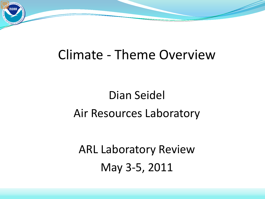

# Dian Seidel Air Resources Laboratory

ARL Laboratory Review May 3-5, 2011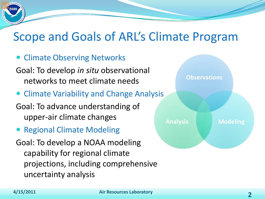#### Scope and Goals of ARL's Climate Program

- Climate Observing Networks
- Goal: To develop *in situ* observational networks to meet climate needs
- Climate Variability and Change Analysis
- Goal: To advance understanding of upper-air climate changes
- Regional Climate Modeling
- Goal: To develop a NOAA modeling capability for regional climate projections, including comprehensive uncertainty analysis

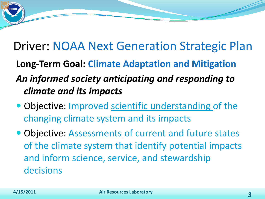#### Driver: NOAA Next Generation Strategic Plan

**Long-Term Goal: Climate Adaptation and Mitigation**

#### *An informed society anticipating and responding to climate and its impacts*

- Objective: Improved scientific understanding of the changing climate system and its impacts
- Objective: Assessments of current and future states of the climate system that identify potential impacts and inform science, service, and stewardship decisions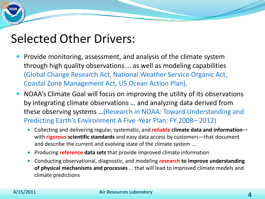#### Selected Other Drivers:

- Provide monitoring, assessment, and analysis of the climate system through high quality observations … as well as modeling capabilities (Global Change Research Act, National Weather Service Organic Act, Coastal Zone Management Act, US Ocean Action Plan).
- NOAA's Climate Goal will focus on improving the utility of its observations by integrating climate observations … and analyzing data derived from these observing systems …(Research in NOAA: Toward Understanding and Predicting Earth's Environment A Five -Year Plan: FY 2008–2012)
	- Collecting and delivering regular, systematic, and **reliable climate data and information** with **rigorous scientific standards** and easy data access by customers—that document and describe the current and evolving state of the climate system …
	- Producing **reference data sets** that provide improved climate information
	- Conducting observational, diagnostic, and modeling **research to improve understanding of physical mechanisms and processes** … that will lead to improved climate models and climate predictions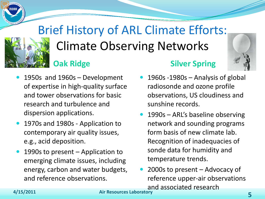# Brief History of ARL Climate Efforts: Climate Observing Networks **Oak Ridge Silver Spring**



- 1950s and 1960s Development of expertise in high-quality surface and tower observations for basic research and turbulence and dispersion applications.
- 1970s and 1980s Application to contemporary air quality issues, e.g., acid deposition.
- 1990s to present Application to emerging climate issues, including energy, carbon and water budgets, and reference observations.
- 1960s -1980s Analysis of global radiosonde and ozone profile observations, US cloudiness and sunshine records.
- 1990s ARL's baseline observing network and sounding programs form basis of new climate lab. Recognition of inadequacies of sonde data for humidity and temperature trends.
- 2000s to present Advocacy of reference upper-air observations and associated research

**4/15/2011 Air Resources Laboratory 5**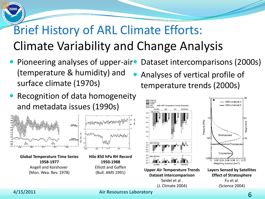# Brief History of ARL Climate Efforts: Climate Variability and Change Analysis

- Pioneering analyses of upper-air• (temperature & humidity) and surface climate (1970s) Dataset intercomparisons (2000s) Analyses of vertical profile of temperature trends (2000s)
- Recognition of data homogeneity and metadata issues (1990s)





**4/15/2011 Air Resources Laboratory 6**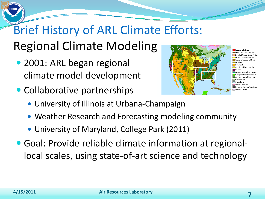# Brief History of ARL Climate Efforts: Regional Climate Modeling

- 2001: ARL began regional climate model development
- Collaborative partnerships



- University of Illinois at Urbana-Champaign
- Weather Research and Forecasting modeling community
- University of Maryland, College Park (2011)
- Goal: Provide reliable climate information at regionallocal scales, using state-of-art science and technology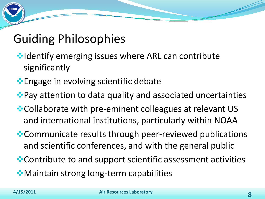#### Guiding Philosophies

- **Identify emerging issues where ARL can contribute** significantly
- **Engage in evolving scientific debate**
- ◆ Pay attention to data quality and associated uncertainties
- **Collaborate with pre-eminent colleagues at relevant US** and international institutions, particularly within NOAA
- **\*** Communicate results through peer-reviewed publications and scientific conferences, and with the general public
- Contribute to and support scientific assessment activities
- Maintain strong long-term capabilities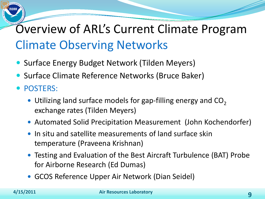# Overview of ARL's Current Climate Program Climate Observing Networks

- Surface Energy Budget Network (Tilden Meyers)
- Surface Climate Reference Networks (Bruce Baker)
- POSTERS:
	- $\bullet$  Utilizing land surface models for gap-filling energy and CO<sub>2</sub> exchange rates (Tilden Meyers)
	- Automated Solid Precipitation Measurement (John Kochendorfer)
	- In situ and satellite measurements of land surface skin temperature (Praveena Krishnan)
	- Testing and Evaluation of the Best Aircraft Turbulence (BAT) Probe for Airborne Research (Ed Dumas)
	- GCOS Reference Upper Air Network (Dian Seidel)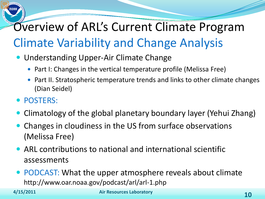## Overview of ARL's Current Climate Program Climate Variability and Change Analysis

- Understanding Upper-Air Climate Change
	- Part I: Changes in the vertical temperature profile (Melissa Free)
	- Part II. Stratospheric temperature trends and links to other climate changes (Dian Seidel)
- POSTERS:
- Climatology of the global planetary boundary layer (Yehui Zhang)
- Changes in cloudiness in the US from surface observations (Melissa Free)
- ARL contributions to national and international scientific assessments
- PODCAST: What the upper atmosphere reveals about climate http://www.oar.noaa.gov/podcast/arl/arl-1.php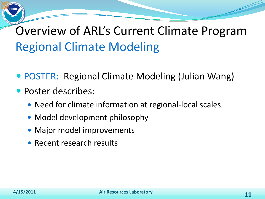### Overview of ARL's Current Climate Program Regional Climate Modeling

- POSTER: Regional Climate Modeling (Julian Wang)
- Poster describes:
	- Need for climate information at regional-local scales
	- Model development philosophy
	- Major model improvements
	- Recent research results